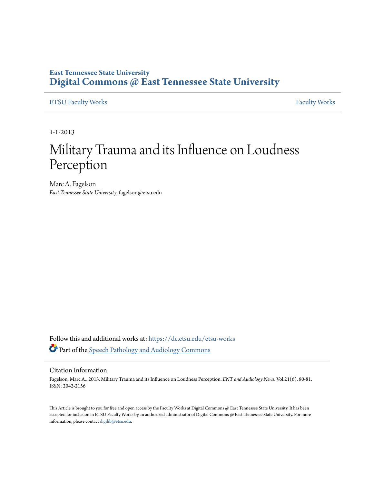## **East Tennessee State University [Digital Commons @ East Tennessee State University](https://dc.etsu.edu?utm_source=dc.etsu.edu%2Fetsu-works%2F1602&utm_medium=PDF&utm_campaign=PDFCoverPages)**

## [ETSU Faculty Works](https://dc.etsu.edu/etsu-works?utm_source=dc.etsu.edu%2Fetsu-works%2F1602&utm_medium=PDF&utm_campaign=PDFCoverPages) [Faculty Works](https://dc.etsu.edu/faculty-works?utm_source=dc.etsu.edu%2Fetsu-works%2F1602&utm_medium=PDF&utm_campaign=PDFCoverPages) Faculty Works

1-1-2013

## Military Trauma and its Influence on Loudness Perception

Marc A. Fagelson *East Tennessee State University*, fagelson@etsu.edu

Follow this and additional works at: [https://dc.etsu.edu/etsu-works](https://dc.etsu.edu/etsu-works?utm_source=dc.etsu.edu%2Fetsu-works%2F1602&utm_medium=PDF&utm_campaign=PDFCoverPages) Part of the [Speech Pathology and Audiology Commons](http://network.bepress.com/hgg/discipline/1035?utm_source=dc.etsu.edu%2Fetsu-works%2F1602&utm_medium=PDF&utm_campaign=PDFCoverPages)

## Citation Information

Fagelson, Marc A.. 2013. Military Trauma and its Influence on Loudness Perception. *ENT and Audiology News*. Vol.21(6). 80-81. ISSN: 2042-2156

This Article is brought to you for free and open access by the Faculty Works at Digital Commons @ East Tennessee State University. It has been accepted for inclusion in ETSU Faculty Works by an authorized administrator of Digital Commons @ East Tennessee State University. For more information, please contact [digilib@etsu.edu.](mailto:digilib@etsu.edu)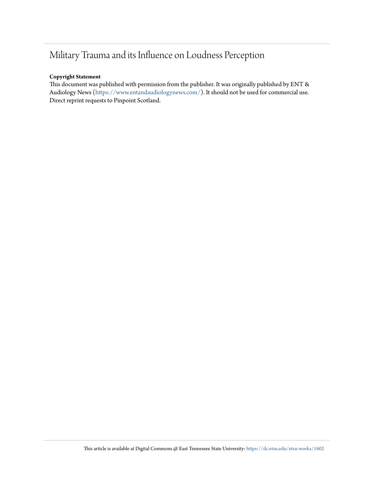## Military Trauma and its Influence on Loudness Perception

## **Copyright Statement**

This document was published with permission from the publisher. It was originally published by ENT & Audiology News [\(https://www.entandaudiologynews.com/](https://linkprotect.cudasvc.com/url?a=https%3a%2f%2fwww.entandaudiologynews.com%2f&c=E,1,yQNkvEYOZ2LQ8-IzBH4v_itQvVZx-QNoMXsQw7y-XWYby6KPcLcZIaOz3DYTv-dzam_0o6TTh04AzQ9-b4YcuAHYQDsd_i5veBIyRVdBOacTj22Qojk,&typo=1)). It should not be used for commercial use. Direct reprint requests to Pinpoint Scotland.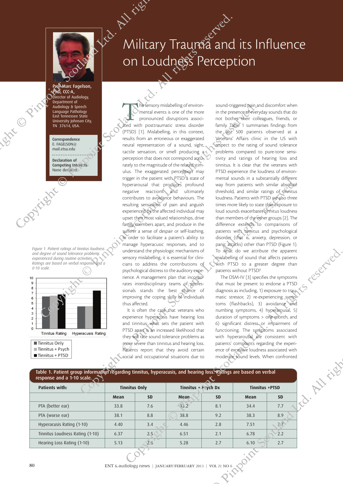

#### ProMarc Fagelson, PhD, CCC-A, Director of Audiology, Department of Audiology & Speech Language Pathology East Tennessee State University Johnson City, TN 37614, USA.

Correspondence E: FAGELSON@ mail.etsu.edu Declaration of Competing Interests None declared. University Johnson City,<br>
IN 37614, USA.<br>
Correspondence<br>
E: FAGELSON@<br>
mail.etsu.edu<br>
Declaration of<br>
Competing Interests<br>
None declarate.

> *Figure 1: Patient ratings of tinnitus loudness and degree of sound tolerance problems experienced during routine activities. Ratings are based on verbal response and a 0-10 scale.*



# Military Trauหลี and its Influence on Loudness Perception ry Traum<sup>es deb</sup><br>udness Percep

Copyright Copyright Copyright Copyright Copyright Copyright Copyright Copyright Copyright Copyright Copyright Copyright Copyright Copyright Copyright Copyright Copyright Copyright Copyright Copyright Copyright Copyright Co Analogy species<br>
Language Pinhop Microsoft (Section of the more in the presence) distribution of the more in the presence)<br>
Compare in the presence) and the more in the presence) and the more in the presence)<br>
in 197614.0 Copyright the controllers and the state of the state of the state of the state of the state of the state of the state of the state of the state of the state of the state of the state of the state of the state of the state Production Copyright Copyright Copyright Copyright Copyright Copyright Copyright Copyright Copyright Copyright Copyright Copyright Copyright Copyright Copyright Copyright Copyright Copyright Copyright Copyright Copyright C The sensory mislabelling of environ-<br>
pronounced disruptions associ-<br>
and with posttraumatic stress disorder mental events is one of the more ated with posttraumatic stress disorder (PTSD) [1]. Mislabelling, in this context, results from an erroneous or exaggerated neural representation of a sound, sight, tactile sensation, or smell producing a perception that does not correspond accurately to the magnitude of the related stimulus. The exaggerated perception may trigger in the patient with PTSD a state of hyperarousal that produces profound negative reactions and ultimately contributes to avoidance behaviours. The resulting sensations of pain and anguish experienced by the affected individual may upset their most valued relationships, drive family members apart, and produce in the sufferer a sense of despair or self-loathing. In order to facilitate a patient's ability to manage hyperacusic responses, and to understand the physiologic mechanisms of sensory mislabelling, it is essential for clinicians to address the contributions of psychological distress to the auditory experience. A management plan that incorporates interdisciplinary teams of professionals stands the best chance of improving the coping skills of individuals thus affected.

sound-triggered pain and discomfort when in the presence of everyday sounds that do not bother their colleagues, friends, or family. Table 1 summarises findings from the last 500 patients observed at a Veterans' Affairs clinic in the US with respect to the rating of sound tolerance problems compared to pure-tone sensitivity and ratings of hearing loss and tinnitus. It is clear that the veterans with PTSD experience the loudness of environmental sounds in a substantially different way from patients with similar absolute threshold, and similar ratings of tinnitus loudness. Patients with PTSD are also three times more likely to state that exposure to loud sounds exacerbates tinnitus loudness than members of the other groups [2]. The difference extends to comparisons of patients with tinnitus and psychological disorder (that is, anxiety, depression, or panic attacks) other than PTSD (Figure 1). To what do we attribute the apparent mislabelling of sound that affects patients with PTSD to a greater degree than patients without PTSD?

| and degree of sound tolerance problems<br>experienced during routine activities.<br>Ratings are based on verbal response and a<br>$0-10$ scale.<br>10<br>9<br>8<br>$\overline{7}$<br>6<br>5<br>4<br>3<br>$\overline{c}$<br>$\mathbf{1}$<br>0<br><b>Tinnitus Rating</b><br><b>Hyperacusis Rating</b><br>Tinnitus Only<br>Tinnitus + Psych<br>Tinnitus + PTSD |                      | understand the physiologic mechanisms of<br>To what do we attribute the apparent<br>sensory mislabelling, it is essential for clini-<br>mislabelling of sound that affects patients<br>cians to address the contributions of<br>with PTSD to a greater degree than<br>patients without PTSD?<br>psychological distress to the auditory expe-<br>rience. A management plan that incorpo-<br>The DSM-IV [3] specifies the symptoms<br>rates interdisciplinary teams of profes-<br>that must be present to endorse a PTSD<br>sionals stands the best chance of<br>diagnosis as including, 1) exposure to trau-<br>improving the coping skills of individuals<br>matic stressor, 2) re-experiencing symp-<br>thus affected.<br>toms (flashbacks), 3) avoidance and<br>It is often the case that veterans who<br>numbing symptoms, 4) hyperarousal, 5)<br>experience hyperacusis have hearing loss<br>duration of symptoms > one month, and<br>and tinnitus; what sets the patient with<br>6) significant distress or impairment of<br>functioning. The symptoms associated<br>PTSD apart is an increased likelihood that<br>with hyperarousal are consistent with<br>they will rate sound tolerance problems as<br>patients' complaints regarding the experi-<br>more severe than tinnitus and hearing loss.<br>ence of excessive loudness associated with<br>Patients report that they avoid certain<br>social and occupational situations due to<br>moderate sound levels. When confronted |                       |           |                       |           |                |
|-------------------------------------------------------------------------------------------------------------------------------------------------------------------------------------------------------------------------------------------------------------------------------------------------------------------------------------------------------------|----------------------|------------------------------------------------------------------------------------------------------------------------------------------------------------------------------------------------------------------------------------------------------------------------------------------------------------------------------------------------------------------------------------------------------------------------------------------------------------------------------------------------------------------------------------------------------------------------------------------------------------------------------------------------------------------------------------------------------------------------------------------------------------------------------------------------------------------------------------------------------------------------------------------------------------------------------------------------------------------------------------------------------------------------------------------------------------------------------------------------------------------------------------------------------------------------------------------------------------------------------------------------------------------------------------------------------------------------------------------------------------------------------------------------------------------------------------------------------------------------------------------|-----------------------|-----------|-----------------------|-----------|----------------|
| Table 1. Patient group information regarding tinnitus, hyperacusis, and hearing loss. satings are based on verbal<br>response and a 1-10 scale.<br><b>Patients with:</b>                                                                                                                                                                                    | <b>Tinnitus Only</b> |                                                                                                                                                                                                                                                                                                                                                                                                                                                                                                                                                                                                                                                                                                                                                                                                                                                                                                                                                                                                                                                                                                                                                                                                                                                                                                                                                                                                                                                                                          | Tinnitus + $P:ych$ Dx |           | <b>Tinnitus +PTSD</b> |           | <b>NY LISS</b> |
|                                                                                                                                                                                                                                                                                                                                                             | Mean                 | <b>SD</b>                                                                                                                                                                                                                                                                                                                                                                                                                                                                                                                                                                                                                                                                                                                                                                                                                                                                                                                                                                                                                                                                                                                                                                                                                                                                                                                                                                                                                                                                                | Mean                  | <b>SD</b> | Mean                  | <b>SD</b> |                |
|                                                                                                                                                                                                                                                                                                                                                             | 33.8                 | 7.6                                                                                                                                                                                                                                                                                                                                                                                                                                                                                                                                                                                                                                                                                                                                                                                                                                                                                                                                                                                                                                                                                                                                                                                                                                                                                                                                                                                                                                                                                      | 33.2                  | 8.1       | 34.4                  | 7.7       |                |
| PTA (better ear)                                                                                                                                                                                                                                                                                                                                            |                      |                                                                                                                                                                                                                                                                                                                                                                                                                                                                                                                                                                                                                                                                                                                                                                                                                                                                                                                                                                                                                                                                                                                                                                                                                                                                                                                                                                                                                                                                                          |                       |           |                       |           |                |
| PTA (worse ear)                                                                                                                                                                                                                                                                                                                                             | 38.1                 | 8.8                                                                                                                                                                                                                                                                                                                                                                                                                                                                                                                                                                                                                                                                                                                                                                                                                                                                                                                                                                                                                                                                                                                                                                                                                                                                                                                                                                                                                                                                                      | 38.8                  | 9.2       | 38.3                  | 8.9       |                |
| Hyperacusis Rating (1-10)                                                                                                                                                                                                                                                                                                                                   | 4.40                 | 3.4                                                                                                                                                                                                                                                                                                                                                                                                                                                                                                                                                                                                                                                                                                                                                                                                                                                                                                                                                                                                                                                                                                                                                                                                                                                                                                                                                                                                                                                                                      | 4.46                  | 2.8       | 7.51                  | 27        |                |
| Tinnitus Loudness Rating (1-10)                                                                                                                                                                                                                                                                                                                             | 6.37                 | 2.5                                                                                                                                                                                                                                                                                                                                                                                                                                                                                                                                                                                                                                                                                                                                                                                                                                                                                                                                                                                                                                                                                                                                                                                                                                                                                                                                                                                                                                                                                      | 6.51                  | 2.1       | 6.78                  | 2.2       |                |
| Hearing Loss Rating (1-10)                                                                                                                                                                                                                                                                                                                                  | 5.13                 | 2.5                                                                                                                                                                                                                                                                                                                                                                                                                                                                                                                                                                                                                                                                                                                                                                                                                                                                                                                                                                                                                                                                                                                                                                                                                                                                                                                                                                                                                                                                                      | 5.28                  | 2.7       | 6.10                  | 2.7       |                |